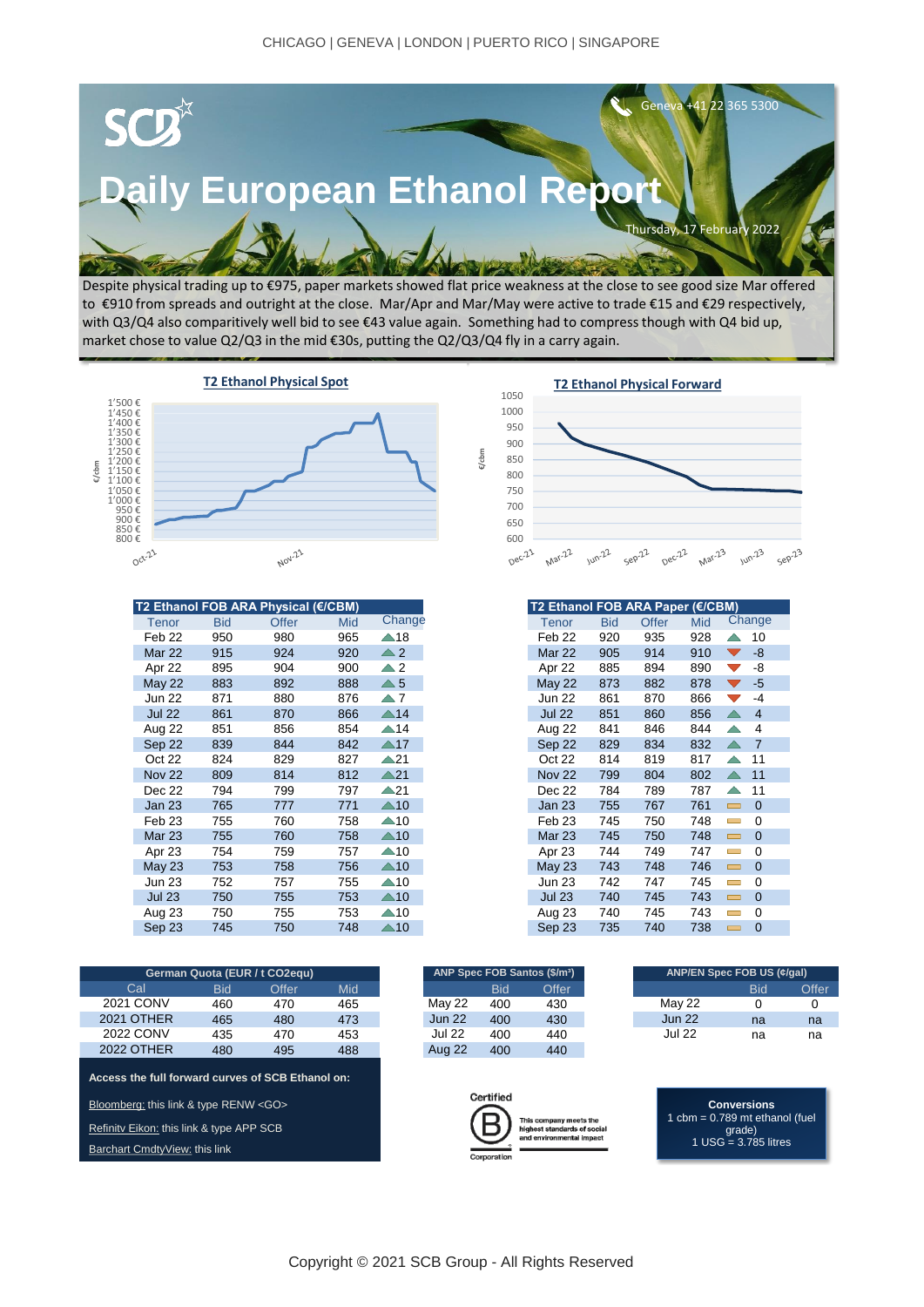

Despite physical trading up to €975, paper markets showed flat price weakness at the close to see good size Mar offered to €910 from spreads and outright at the close. Mar/Apr and Mar/May were active to trade €15 and €29 respectively, with Q3/Q4 also comparitively well bid to see €43 value again. Something had to compress though with Q4 bid up, market chose to value Q2/Q3 in the mid €30s, putting the Q2/Q3/Q4 fly in a carry again.



| T2 Ethanol FOB ARA Physical (€/CBM) |            |       |     |                |  |
|-------------------------------------|------------|-------|-----|----------------|--|
| Tenor                               | <b>Bid</b> | Offer | Mid | Change         |  |
| Feb 22                              | 950        | 980   | 965 | $\triangle$ 18 |  |
| <b>Mar 22</b>                       | 915        | 924   | 920 | $\triangle 2$  |  |
| Apr 22                              | 895        | 904   | 900 | $\triangle$ 2  |  |
| <b>May 22</b>                       | 883        | 892   | 888 | $\triangle 5$  |  |
| <b>Jun 22</b>                       | 871        | 880   | 876 | $\triangle 7$  |  |
| <b>Jul 22</b>                       | 861        | 870   | 866 | $\triangle$ 14 |  |
| Aug 22                              | 851        | 856   | 854 | $\triangle$ 14 |  |
| Sep 22                              | 839        | 844   | 842 | $\triangle 17$ |  |
| Oct 22                              | 824        | 829   | 827 | $\triangle$ 21 |  |
| <b>Nov 22</b>                       | 809        | 814   | 812 | $\triangle 21$ |  |
| Dec 22                              | 794        | 799   | 797 | $\triangle$ 21 |  |
| Jan 23                              | 765        | 777   | 771 | $\triangle 10$ |  |
| Feb <sub>23</sub>                   | 755        | 760   | 758 | $\triangle$ 10 |  |
| <b>Mar 23</b>                       | 755        | 760   | 758 | $\triangle$ 10 |  |
| Apr 23                              | 754        | 759   | 757 | $\triangle$ 10 |  |
| May 23                              | 753        | 758   | 756 | $\triangle 10$ |  |
| <b>Jun 23</b>                       | 752        | 757   | 755 | $\triangle$ 10 |  |
| <b>Jul 23</b>                       | 750        | 755   | 753 | $\triangle 10$ |  |
| Aug 23                              | 750        | 755   | 753 | $\triangle$ 10 |  |
| Sep 23                              | 745        | 750   | 748 | $\triangle$ 10 |  |

| German Quota (EUR / t CO2equ) |  |            |       |     |  |  |  |  |
|-------------------------------|--|------------|-------|-----|--|--|--|--|
| Cal                           |  | <b>Bid</b> | Offer | Mid |  |  |  |  |
| 2021 CONV                     |  | 460        | 470   | 465 |  |  |  |  |
| <b>2021 OTHER</b>             |  | 465        | 480   | 473 |  |  |  |  |
| 2022 CONV                     |  | 435        | 470   | 453 |  |  |  |  |
| <b>2022 OTHER</b>             |  | 480        | 495   | 488 |  |  |  |  |
|                               |  |            |       |     |  |  |  |  |

**[Access the full forward curves of SCB Ethanol on:](https://bloom.bg/3cxqnKP)**

Bloomberg: this link & type RENW <GO>

Refinity Eikon: [this link & type APP SCB](https://go.refinitiv.com/?u=Y3B1cmw6Ly9hcHBzLmNwLi9jbXMvP3BhZ2VJZD1zY2Itb3ZlcnZpZXctbw==)

[Barchart CmdtyView:](https://www.barchart.com/cmdty/data/pricing-network/scb) this link



| T2 Ethanol FOB ARA Paper (€/CBM) |            |       |     |                                      |  |
|----------------------------------|------------|-------|-----|--------------------------------------|--|
| Tenor                            | <b>Bid</b> | Offer | Mid | Change                               |  |
| Feb 22                           | 920        | 935   | 928 | ╱<br>10                              |  |
| <b>Mar 22</b>                    | 905        | 914   | 910 | -8<br>$\blacktriangledown$           |  |
| Apr 22                           | 885        | 894   | 890 | -8<br>$\blacktriangledown$           |  |
| <b>May 22</b>                    | 873        | 882   | 878 | $-5$<br>$\overline{\phantom{a}}$     |  |
| <b>Jun 22</b>                    | 861        | 870   | 866 | -4<br>$\overline{\phantom{a}}$       |  |
| <b>Jul 22</b>                    | 851        | 860   | 856 | ╱<br>$\overline{4}$                  |  |
| Aug 22                           | 841        | 846   | 844 | 4                                    |  |
| Sep 22                           | 829        | 834   | 832 | $\overline{7}$<br>$\curvearrowright$ |  |
| Oct 22                           | 814        | 819   | 817 | 11<br>$\curvearrowright$             |  |
| <b>Nov 22</b>                    | 799        | 804   | 802 | 11<br>↗                              |  |
| Dec 22                           | 784        | 789   | 787 | 11                                   |  |
| Jan 23                           | 755        | 767   | 761 | 0<br>$\overline{\phantom{a}}$        |  |
| Feb <sub>23</sub>                | 745        | 750   | 748 | 0<br>$\overline{\phantom{a}}$        |  |
| <b>Mar 23</b>                    | 745        | 750   | 748 | 0<br>$\overline{\phantom{a}}$        |  |
| Apr 23                           | 744        | 749   | 747 | 0<br>Ī                               |  |
| <b>May 23</b>                    | 743        | 748   | 746 | 0<br>▭                               |  |
| <b>Jun 23</b>                    | 742        | 747   | 745 | 0<br>$\overline{\phantom{a}}$        |  |
| <b>Jul 23</b>                    | 740        | 745   | 743 | 0<br>$\equiv$                        |  |
| Aug 23                           | 740        | 745   | 743 | 0<br>Ī                               |  |
| Sep 23                           | 735        | 740   | 738 | 0<br>$\overline{\phantom{0}}$        |  |

| ANP Spec FOB Santos (\$/m <sup>3</sup> ) |       |  |  |  |  |  |  |  |  |
|------------------------------------------|-------|--|--|--|--|--|--|--|--|
| <b>Bid</b>                               | Offer |  |  |  |  |  |  |  |  |
| 400                                      | 430   |  |  |  |  |  |  |  |  |
| 400                                      | 430   |  |  |  |  |  |  |  |  |
| 400                                      | 440   |  |  |  |  |  |  |  |  |
| 400                                      | 440   |  |  |  |  |  |  |  |  |
|                                          |       |  |  |  |  |  |  |  |  |



Bid Offer Mid Bid Offer Bid Offer 460 470 465 400 430 0 0 465 480 473 Jun 22 430 Jun 22 na na 435 470 453 Jul 22 440 Jul 22 na na Jul 22 May 22 Jun 22 **German Quota (EUR / t CO2equ) ANP/EN Spec FOB US (¢/gal)**

> **Conversions** 1 cbm = 0.789 mt ethanol (fuel grade) 1 USG = 3.785 litres